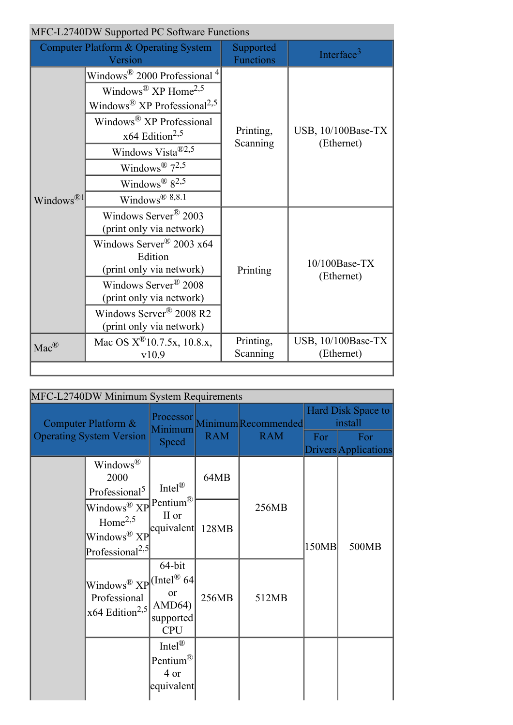|                         | MFC-L2740DW Supported PC Software Functions                                                                                                                                                                                                                            |                               |                                  |  |  |
|-------------------------|------------------------------------------------------------------------------------------------------------------------------------------------------------------------------------------------------------------------------------------------------------------------|-------------------------------|----------------------------------|--|--|
|                         | <b>Computer Platform &amp; Operating System</b><br>Version                                                                                                                                                                                                             | Supported<br><b>Functions</b> | Interface <sup>3</sup>           |  |  |
| Windows $^{\circledR1}$ | Windows $2000$ Professional $4$<br>Windows <sup>®</sup> XP Home <sup>2,5</sup><br>Windows <sup>®</sup> $XP$ Professional <sup>2,5</sup><br>Windows® XP Professional<br>$x64$ Edition <sup>2,5</sup><br>Windows Vista <sup>®2,5</sup><br>Windows <sup>®</sup> $7^{2,5}$ | Printing,<br>Scanning         | USB, 10/100Base-TX<br>(Ethernet) |  |  |
|                         | Windows <sup>®</sup> $8^{2,5}$<br>Windows $^{\circledR}$ 8,8.1<br>Windows Server <sup>®</sup> 2003                                                                                                                                                                     |                               |                                  |  |  |
|                         | (print only via network)<br>Windows Server <sup>®</sup> 2003 x64<br>Edition<br>(print only via network)<br>Windows Server <sup>®</sup> 2008                                                                                                                            | Printing                      | 10/100Base-TX<br>(Ethernet)      |  |  |
|                         | (print only via network)<br>Windows Server <sup>®</sup> 2008 R2<br>(print only via network)                                                                                                                                                                            |                               |                                  |  |  |
| $Mac^{\circledR}$       | Mac OS $X^{\textcircled{R}}$ 10.7.5x, 10.8.x,<br>v10.9                                                                                                                                                                                                                 | Printing,<br>Scanning         | USB, 10/100Base-TX<br>(Ethernet) |  |  |
|                         |                                                                                                                                                                                                                                                                        |                               |                                  |  |  |

| MFC-L2740DW Minimum System Requirements                |                                                                                                                                                                                                                                                                                                           |                                                                    |            |                                             |                               |                             |  |
|--------------------------------------------------------|-----------------------------------------------------------------------------------------------------------------------------------------------------------------------------------------------------------------------------------------------------------------------------------------------------------|--------------------------------------------------------------------|------------|---------------------------------------------|-------------------------------|-----------------------------|--|
| Computer Platform &<br><b>Operating System Version</b> |                                                                                                                                                                                                                                                                                                           | Minimum<br>Speed                                                   | <b>RAM</b> | Processor Minimum Recommended<br><b>RAM</b> | Hard Disk Space to<br>install |                             |  |
|                                                        |                                                                                                                                                                                                                                                                                                           |                                                                    |            |                                             | For                           | For<br>Drivers Applications |  |
|                                                        | Windows <sup>®</sup><br>2000<br>Professional <sup>5</sup><br>Windows $\widehat{\otimes \text{ XP}}$ Pentium $\widehat{\otimes}$<br>Home <sup>2,5</sup><br>Windows® XP<br>Professional <sup>2,5</sup><br>Windows <sup>®</sup> $XP$ <sup>[(Intel® 64]</sup><br>Professional<br>$x64$ Edition <sup>2,5</sup> | Intel $^{\circledR}$<br>II or<br>equivalent                        | 64MB       |                                             | 150MB                         | 500MB                       |  |
|                                                        |                                                                                                                                                                                                                                                                                                           |                                                                    | 128MB      | 256MB                                       |                               |                             |  |
|                                                        |                                                                                                                                                                                                                                                                                                           | 64-bit<br>or<br>AMD64)<br>supported<br><b>CPU</b>                  | 256MB      | 512MB                                       |                               |                             |  |
|                                                        |                                                                                                                                                                                                                                                                                                           | Intel $^{\circledR}$<br>Pentium <sup>®</sup><br>4 or<br>equivalent |            |                                             |                               |                             |  |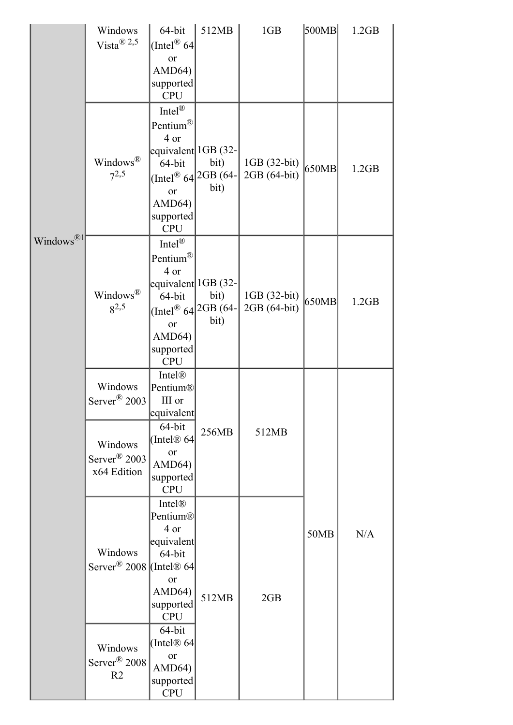|                       | Windows<br>Vista <sup>®</sup> 2,5                                                         | 64-bit<br>(Intel <sup>®</sup> 64)                                                                                                                                         | 512MB        | 1GB                          | 500MB | 1.2GB |
|-----------------------|-------------------------------------------------------------------------------------------|---------------------------------------------------------------------------------------------------------------------------------------------------------------------------|--------------|------------------------------|-------|-------|
|                       |                                                                                           | or<br>AMD64)<br>supported<br><b>CPU</b>                                                                                                                                   |              |                              |       |       |
|                       | Windows®<br>$7^{2,5}$                                                                     | Intel $^{\circledR}$<br>Pentium®<br>4 or<br>equivalent 1GB (32-<br>64-bit<br>(Intel <sup>®</sup> 64 <sup>2GB</sup> (64-<br><b>or</b><br>AMD64)<br>supported<br><b>CPU</b> | bit)<br>bit) | 1GB (32-bit)<br>2GB (64-bit) | 650MB | 1.2GB |
| Windows <sup>®1</sup> | Windows®<br>$8^{2,5}$                                                                     | Intel <sup>®</sup><br>Pentium®<br>4 or<br>equivalent 1GB (32-<br>64-bit<br>(Intel <sup>®</sup> 64 <sup>2GB</sup> (64-<br>or<br>AMD64)<br>supported<br><b>CPU</b>          | bit)<br>bit) | 1GB (32-bit)<br>2GB (64-bit) | 650MB | 1.2GB |
|                       | Windows<br>Server <sup>®</sup> 2003<br>Windows<br>Server $\mathbb{R}$ 2003<br>x64 Edition | Intel®<br>Pentium®<br>III or<br>equivalent<br>64-bit<br>(Intel® 64<br>or<br>AMD64)<br>supported<br><b>CPU</b>                                                             | 256MB        | 512MB                        |       |       |
|                       | Windows<br>Server <sup>®</sup> 2008 (Intel® 64                                            | Intel®<br>Pentium®<br>4 or<br>equivalent<br>64-bit<br>or<br>AMD64)<br>supported<br><b>CPU</b>                                                                             | 512MB        | 2GB                          | 50MB  | N/A   |
|                       | Windows<br>Server <sup>®</sup> 2008<br>R <sub>2</sub>                                     | 64-bit<br>(Intel $@64$<br>or<br>AMD64)<br>supported<br><b>CPU</b>                                                                                                         |              |                              |       |       |